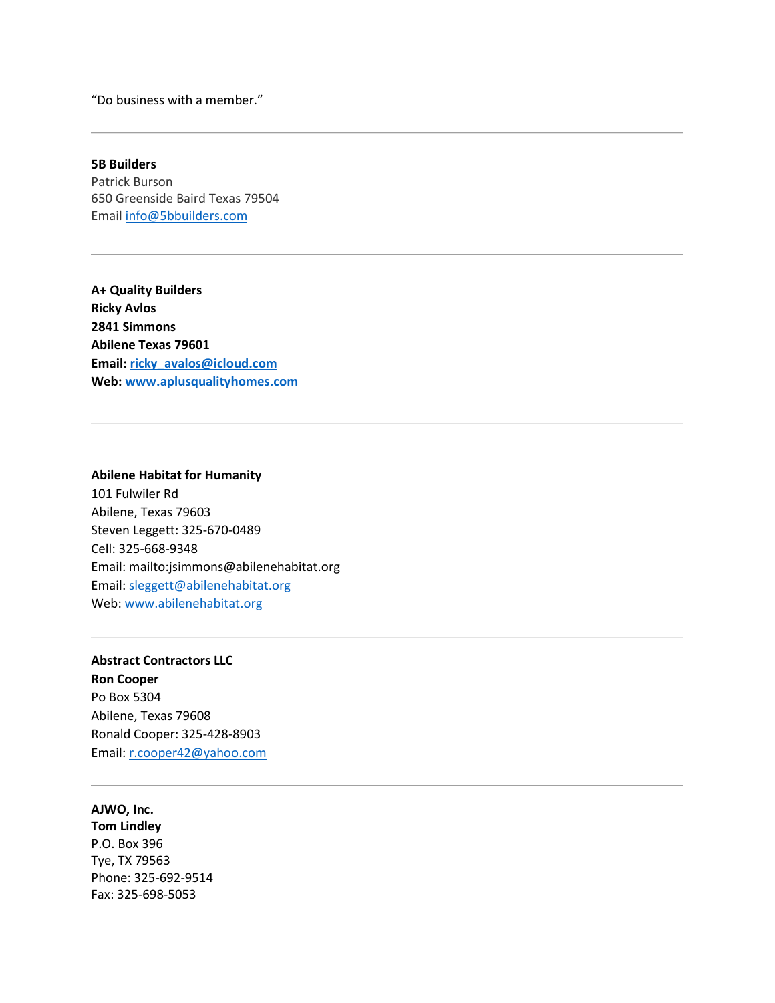"Do business with a member."

**5B Builders** Patrick Burson 650 Greenside Baird Texas 79504 Email [info@5bbuilders.com](mailto:info@5bbuilders.com)

**A+ Quality Builders Ricky Avlos 2841 Simmons Abilene Texas 79601 Email[: ricky\\_avalos@icloud.com](mailto:ricky_avalos@icloud.com) Web: [www.aplusqualityhomes.com](http://www.aplusqualityhomes.com/)**

# **Abilene Habitat for Humanity** 101 Fulwiler Rd Abilene, Texas 79603 Steven Leggett: 325-670-0489 Cell: 325-668-9348 Email:<mailto:jsimmons@abilenehabitat.org> Email: [sleggett@abilenehabitat.org](mailto:sleggett@abilenehabitat.org) Web: [www.abilenehabitat.org](http://www.abilenehabitat.org/)

### **Abstract Contractors LLC Ron Cooper**

Po Box 5304 Abilene, Texas 79608 Ronald Cooper: 325-428-8903 Email: [r.cooper42@yahoo.com](mailto:r.cooper42@yahoo.com)

**AJWO, Inc. Tom Lindley** P.O. Box 396 Tye, TX 79563 Phone: 325-692-9514 Fax: 325-698-5053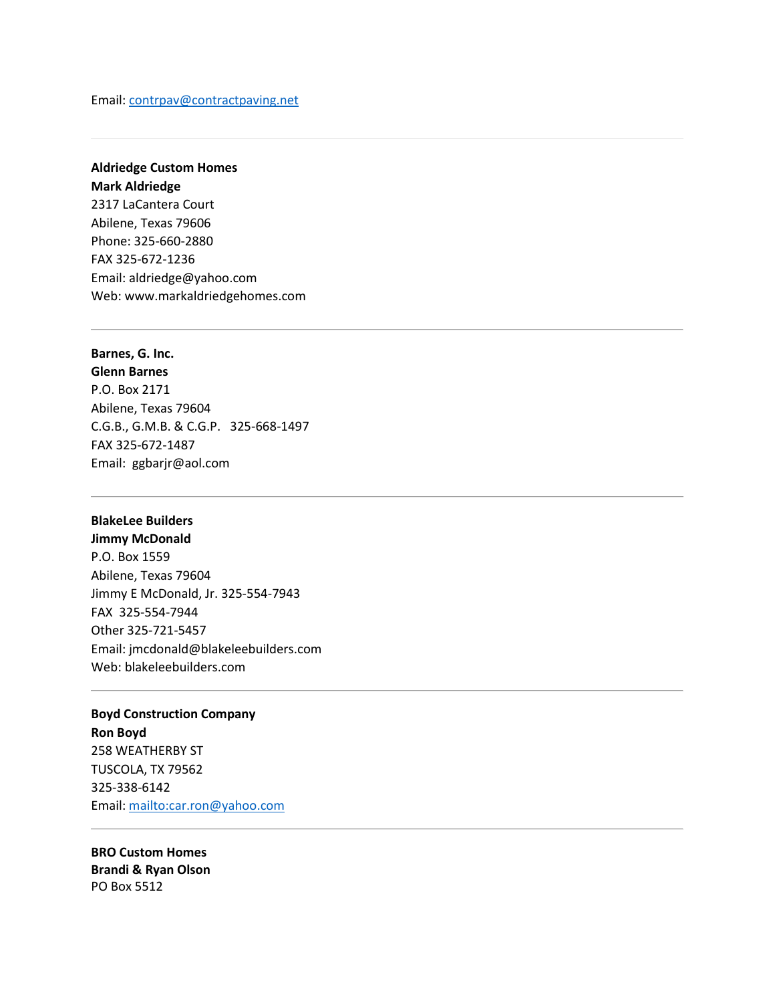Email: [contrpav@contractpaving.net](mailto:contrpav@contractpaving.net)

# **Aldriedge Custom Homes Mark Aldriedge** 2317 LaCantera Court Abilene, Texas 79606 Phone: 325-660-2880 FAX 325-672-1236 Email: [aldriedge@yahoo.com](mailto:aldriedge@yahoo.com) Web: www[.markaldriedgehomes.com](http://www.markaldriedgehomes.com/)

#### **Barnes, G. Inc.**

**Glenn Barnes** P.O. Box 2171 Abilene, Texas 79604 C.G.B., G.M.B. & C.G.P. 325-668-1497 FAX 325-672-1487 Email: [ggbarjr@aol.com](mailto:ggbarjr@aol.com)

## **BlakeLee Builders**

**Jimmy McDonald** P.O. Box 1559 Abilene, Texas 79604 Jimmy E McDonald, Jr. 325-554-7943 FAX 325-554-7944 Other 325-721-5457 Email: [jmcdonald@blakeleebuilders.com](mailto:jmcdonald@blakeleebuilders.com) Web[: blakeleebuilders.com](http://www.blakeleebuilders.com/)

# **Boyd Construction Company**

**Ron Boyd** 258 WEATHERBY ST TUSCOLA, TX 79562 325-338-6142 Email:<mailto:car.ron@yahoo.com>

**BRO Custom Homes Brandi & Ryan Olson** PO Box 5512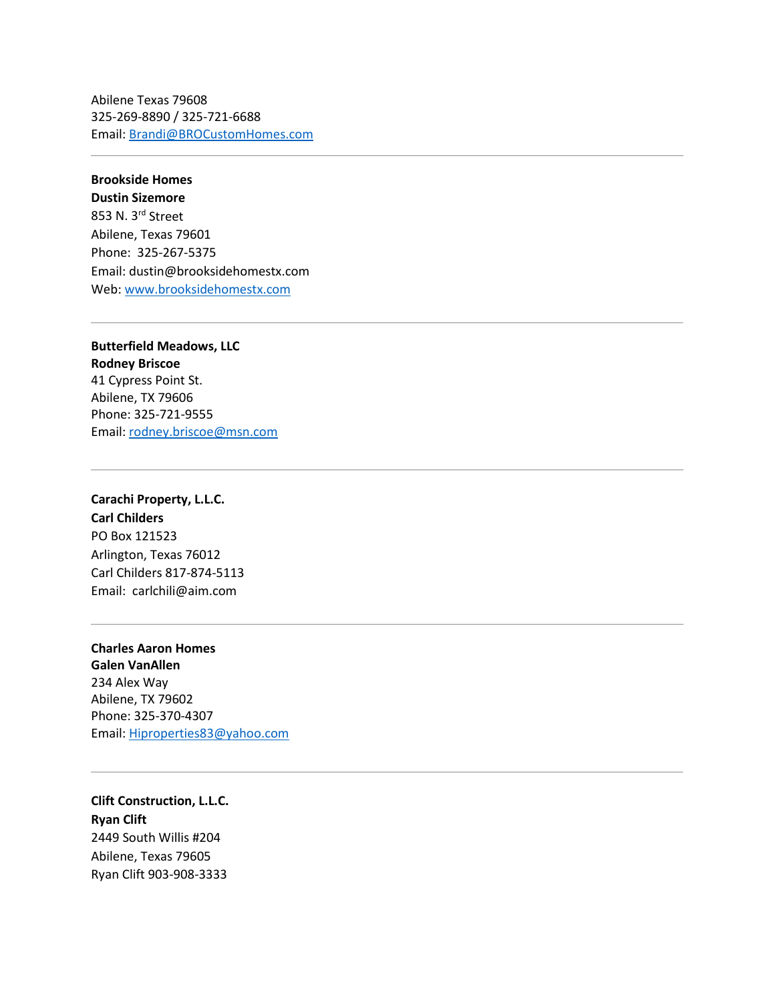Abilene Texas 79608 325-269-8890 / 325-721-6688 Email: [Brandi@BROCustomHomes.com](mailto:Brandi@BROCustomHomes.com)

### **Brookside Homes**

**Dustin Sizemore** 853 N. 3rd Street Abilene, Texas 79601 Phone: 325-267-5375 Email: dustin@brooksidehomestx.com Web[: www.brooksidehomestx.com](http://www.brooksidehomestx.com/)

**Butterfield Meadows, LLC Rodney Briscoe** 41 Cypress Point St. Abilene, TX 79606 Phone: 325-721-9555 Email: [rodney.briscoe@msn.com](mailto:rodney.briscoe@msn.com)

**Carachi Property, L.L.C. Carl Childers** PO Box 121523 Arlington, Texas 76012 Carl Childers 817-874-5113 Email: [carlchili@aim.com](mailto:carlchili@aim.com)

**Charles Aaron Homes Galen VanAllen** 234 Alex Way Abilene, TX 79602 Phone: 325-370-4307 Email: [Hiproperties83@yahoo.com](mailto:Hiproperties83@yahoo.com)

**Clift Construction, L.L.C. Ryan Clift** 2449 South Willis #204 Abilene, Texas 79605 Ryan Clift 903-908-3333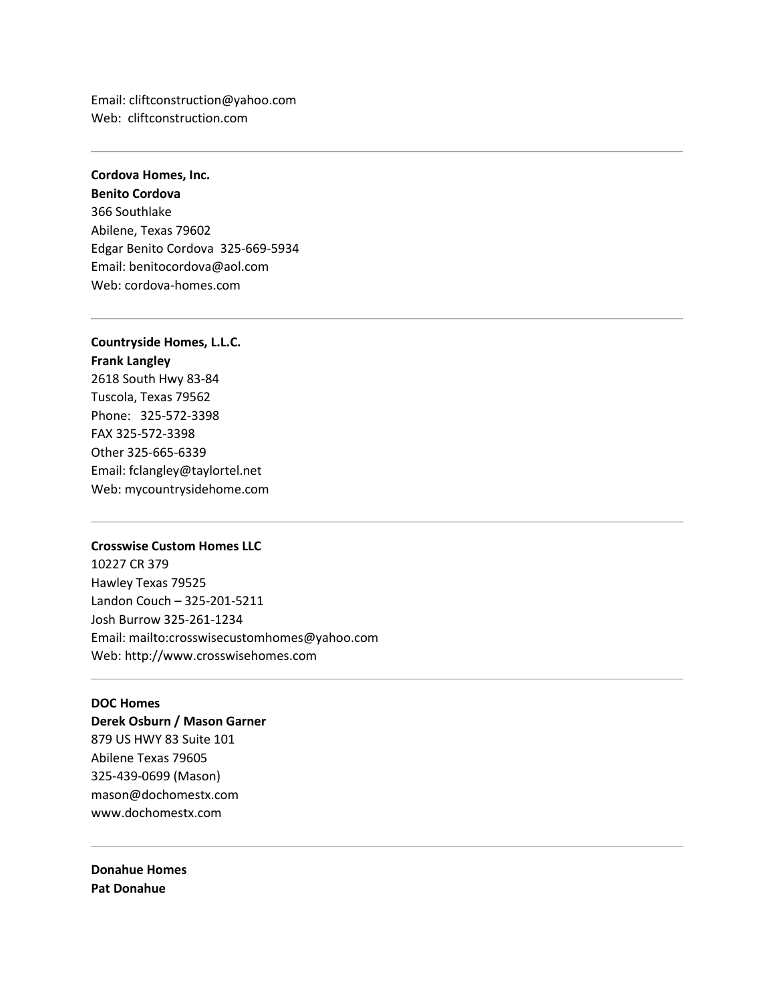Email: [cliftconstruction@yahoo.com](mailto:cliftconstruction@yahoo.com) Web: [cliftconstruction.com](http://cliftconstruction.com/)

# **Cordova Homes, Inc.**

**Benito Cordova** 366 Southlake Abilene, Texas 79602 Edgar Benito Cordova 325-669-5934 Email: [benitocordova@aol.com](mailto:benitocordova@aol.com) Web[: cordova-homes.com](http://www.cordova-homes.com/)

### **Countryside Homes, L.L.C. Frank Langley**

2618 South Hwy 83-84 Tuscola, Texas 79562 Phone: 325-572-3398 FAX 325-572-3398 Other 325-665-6339 Email: [fclangley@taylortel.net](mailto:fclangley@taylortel.net) Web[: mycountrysidehome.com](http://www.mycountrysidehome.com/)

#### **Crosswise Custom Homes LLC**

10227 CR 379 Hawley Texas 79525 Landon Couch – 325-201-5211 Josh Burrow 325-261-1234 Email:<mailto:crosswisecustomhomes@yahoo.com> Web[: http://www.crosswisehomes.com](http://www.crosswisehomes.com/)

#### **DOC Homes**

**Derek Osburn / Mason Garner** [879 US HWY 83 Suite 101](https://maps.google.com/?q=879+US+HWY+83+Suite+101+Abilene+Texas+79605+325&entry=gmail&source=g) [Abilene Texas 79605](https://maps.google.com/?q=879+US+HWY+83+Suite+101+Abilene+Texas+79605+325&entry=gmail&source=g) [325-](https://maps.google.com/?q=879+US+HWY+83+Suite+101+Abilene+Texas+79605+325&entry=gmail&source=g)439-0699 (Mason) [mason@dochomestx.com](mailto:mason@dochomestx.com) [www.dochomestx.com](http://www.dochomestx.com/)

**Donahue Homes Pat Donahue**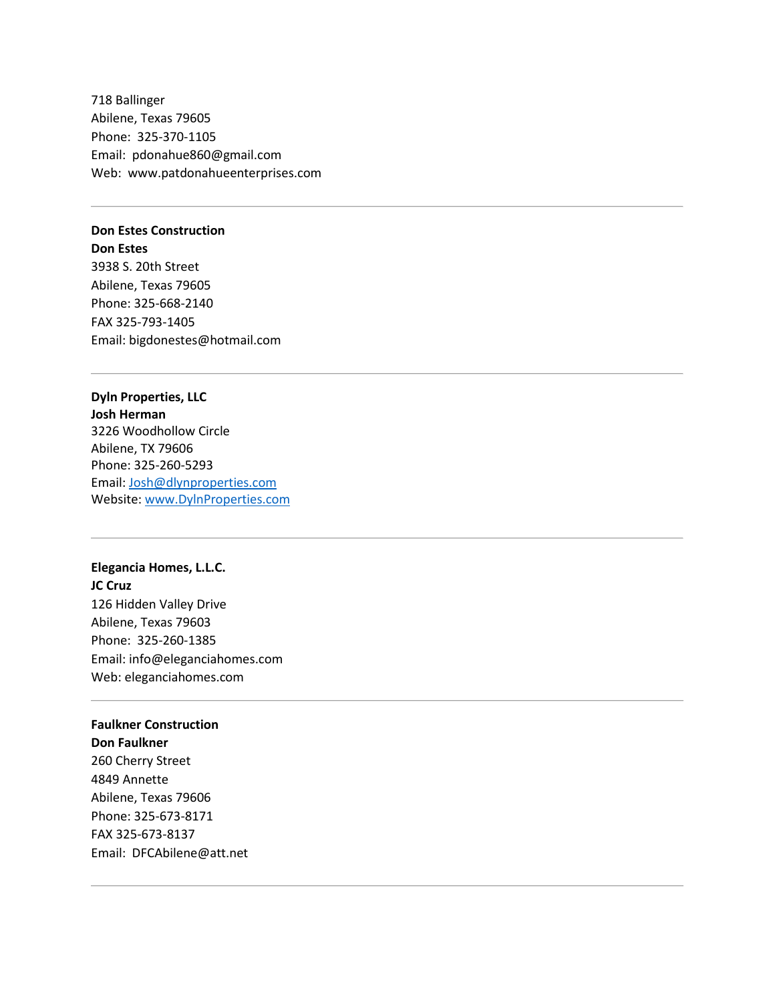718 Ballinger Abilene, Texas 79605 Phone: 325-370-1105 Email: [pdonahue860@gmail.com](mailto:pdonahue860@gmail.com) Web: [www.patdonahueenterprises.com](http://www.patdonahueenterprises.com/)

#### **Don Estes Construction**

**Don Estes** 3938 S. 20th Street Abilene, Texas 79605 Phone: 325-668-2140 FAX 325-793-1405 Email: [bigdonestes@hotmail.com](mailto:bigdonestes@hotmail.com)

## **Dyln Properties, LLC**

**Josh Herman** 3226 Woodhollow Circle Abilene, TX 79606 Phone: 325-260-5293 Email: [Josh@dlynproperties.com](mailto:Josh@dlynproperties.com) Website[: www.DylnProperties.com](http://www.dylnproperties.com/)

## **Elegancia Homes, L.L.C.**

**JC Cruz** 126 Hidden Valley Drive Abilene, Texas 79603 Phone: 325-260-1385 Email: [info@eleganciahomes.com](mailto:info@eleganciahomes.com) Web[: eleganciahomes.com](http://www.eleganciahomes.com/)

#### **Faulkner Construction**

**Don Faulkner** 260 Cherry Street 4849 Annette Abilene, Texas 79606 Phone: 325-673-8171 FAX 325-673-8137 Email: [DFCAbilene@att.net](mailto:DFCAbilene@att.net)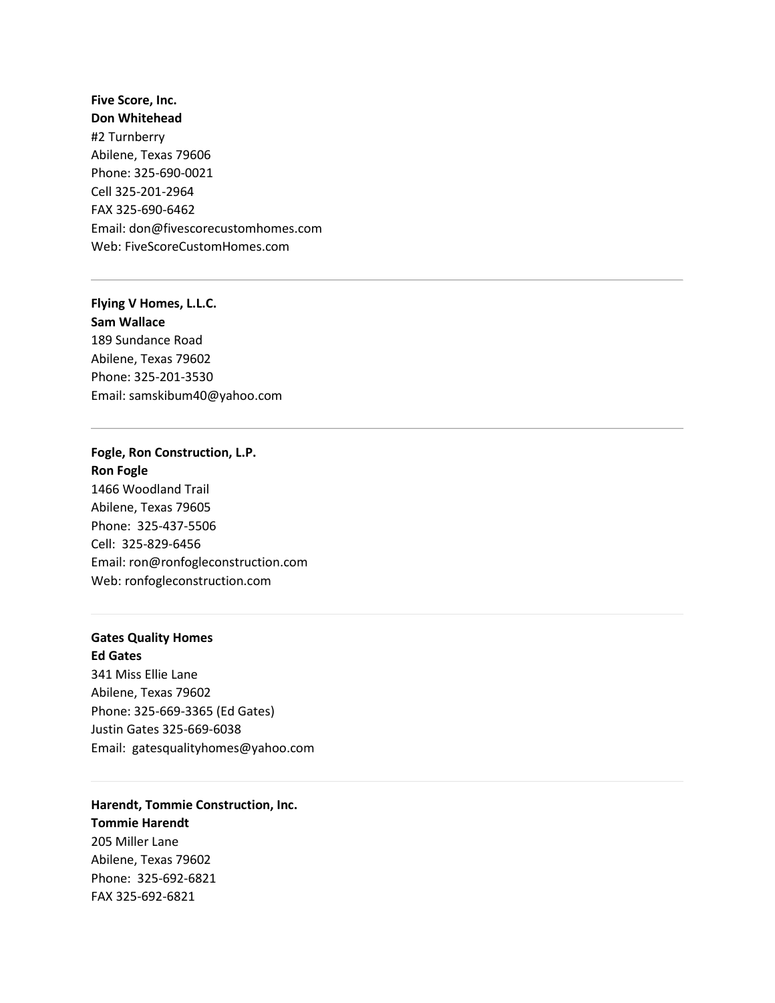**Five Score, Inc. Don Whitehead** #2 Turnberry Abilene, Texas 79606 Phone: 325-690-0021 Cell 325-201-2964 FAX 325-690-6462 Email: [don@fivescorecustomhomes.com](mailto:don@fivescorecustomhomes.com) Web[: FiveScoreCustomHomes.com](http://www.fivescorecustomhomes.com/)

**Flying V Homes, L.L.C. Sam Wallace** 189 Sundance Road Abilene, Texas 79602 Phone: 325-201-3530 Email: [samskibum40@yahoo.com](mailto:samskibum40@yahoo.com)

# **Fogle, Ron Construction, L.P. Ron Fogle** 1466 Woodland Trail

Abilene, Texas 79605 Phone: 325-437-5506 Cell: 325-829-6456 Email: [ron@ronfogleconstruction.com](mailto:ron@ronfogleconstruction.com) Web[: ronfogleconstruction.com](http://www.ronfogleconstruction.com/)

# **Gates Quality Homes Ed Gates**

Phone: 325-692-6821 FAX 325-692-6821

341 Miss Ellie Lane Abilene, Texas 79602 Phone: 325-669-3365 (Ed Gates) Justin Gates 325-669-6038 Email: [gatesqualityhomes@yahoo.com](mailto:gatesqualityhomes@yahoo.com)

**Harendt, Tommie Construction, Inc. Tommie Harendt** 205 Miller Lane Abilene, Texas 79602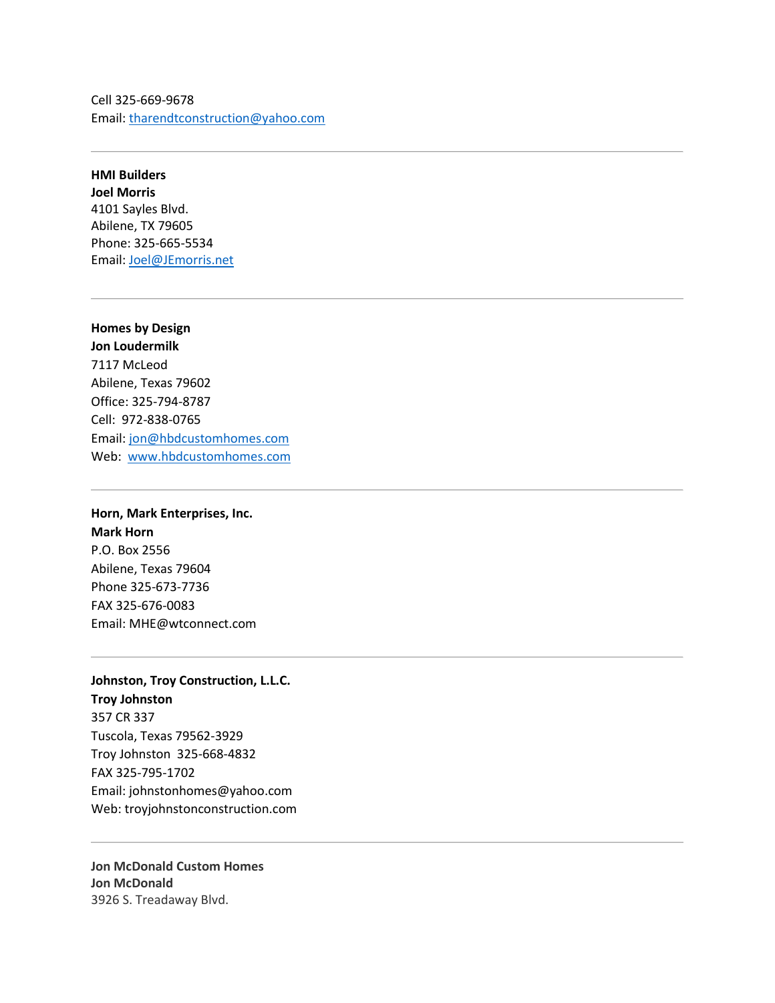Cell 325-669-9678 Email: [tharendtconstruction@yahoo.com](mailto:tharendtconstruction@yahoo.com)

**HMI Builders Joel Morris** 4101 Sayles Blvd. Abilene, TX 79605 Phone: 325-665-5534 Email: [Joel@JEmorris.net](mailto:Joel@JEmorris.net)

# **Homes by Design**

**Jon Loudermilk** 7117 McLeod Abilene, Texas 79602 Office: 325-794-8787 Cell: 972-838-0765 Email: [jon@hbdcustomhomes.com](mailto:jon@hbdcustomhomes.com) Web: [www.hbdcustomhomes.com](http://www.hbdcustomhomes.com/)

## **Horn, Mark Enterprises, Inc. Mark Horn** P.O. Box 2556

Abilene, Texas 79604 Phone 325-673-7736 FAX 325-676-0083 Email: [MHE@wtconnect.com](mailto:MHE@wtconnect.com)

#### **Johnston, Troy Construction, L.L.C.**

**Troy Johnston** 357 CR 337 Tuscola, Texas 79562-3929 Troy Johnston 325-668-4832 FAX 325-795-1702 Email: [johnstonhomes@yahoo.com](mailto:johnstonhomes@yahoo.com)  Web[: troyjohnstonconstruction.com](http://www.troyjohnstonconstruction.com/)

**Jon McDonald Custom Homes Jon McDonald** 3926 S. Treadaway Blvd.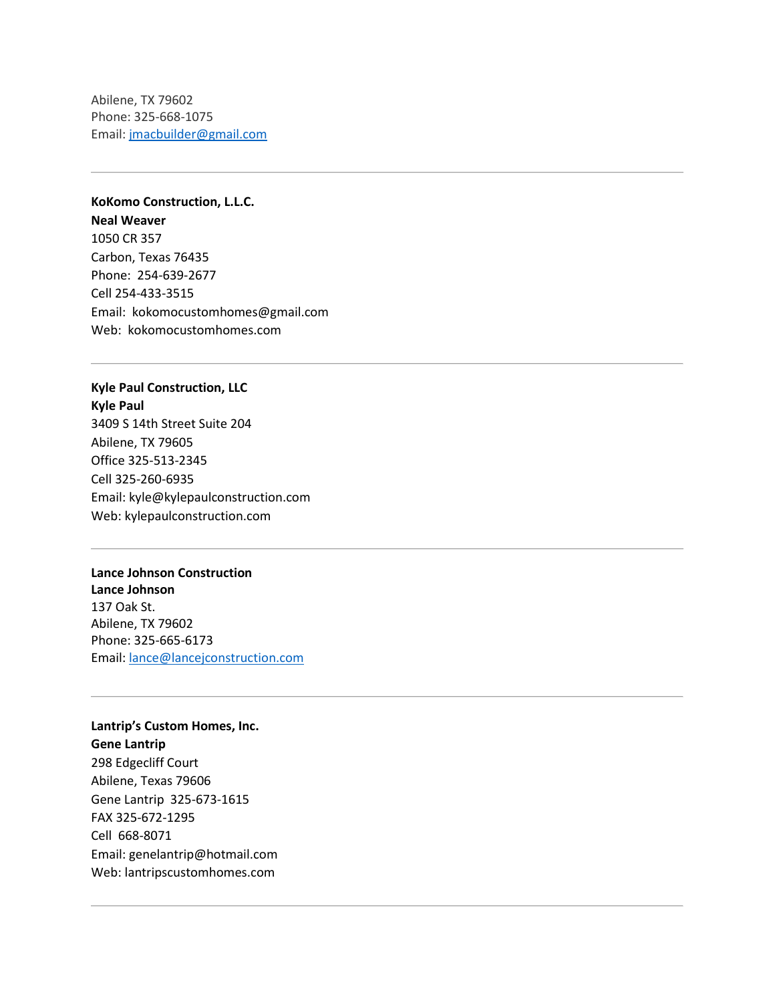Abilene, TX 79602 Phone: 325-668-1075 Email: [jmacbuilder@gmail.com](mailto:jmacbuilder@gmail.com)

# **KoKomo Construction, L.L.C.**

**Neal Weaver** 1050 CR 357 Carbon, Texas 76435 Phone: 254-639-2677 Cell 254-433-3515 Email: [kokomocustomhomes@gmail.com](mailto:kokomocustomhomes@gmail.com) Web: [kokomocustomhomes.com](http://www.kokomocustomhomes.com/)

## **Kyle Paul Construction, LLC Kyle Paul**

3409 S 14th Street Suite 204 Abilene, TX 79605 Office 325-513-2345 Cell 325-260-6935 Email: [kyle@kylepaulconstruction.com](mailto:kyle@kylepaulconstruction.com) Web[: kylepaulconstruction.com](http://kylepaulconstruction.com/)

### **Lance Johnson Construction**

**Lance Johnson** 137 Oak St. Abilene, TX 79602 Phone: 325-665-6173 Email: [lance@lancejconstruction.com](mailto:lance@lancejconstruction.com)

**Lantrip's Custom Homes, Inc. Gene Lantrip** 298 Edgecliff Court Abilene, Texas 79606 Gene Lantrip 325-673-1615 FAX 325-672-1295 Cell 668-8071 Email: [genelantrip@hotmail.com](mailto:genelantrip@hotmail.com) Web[: lantripscustomhomes.com](http://www.lantripscustomhomes.com/)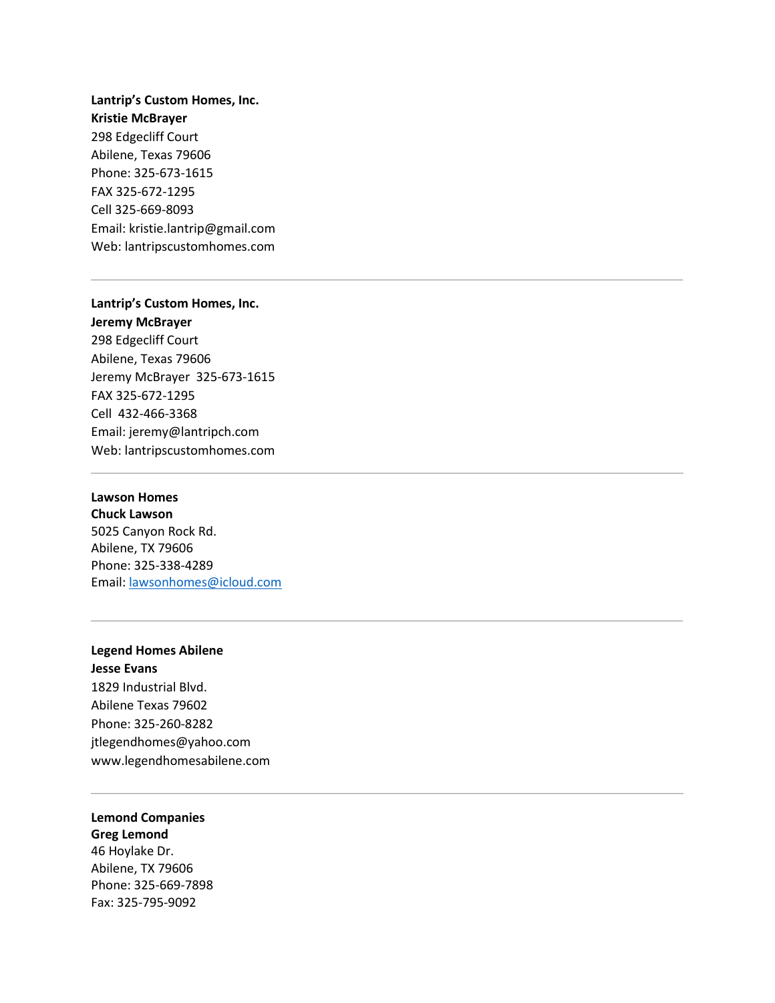# **Lantrip's Custom Homes, Inc. Kristie McBrayer** 298 Edgecliff Court Abilene, Texas 79606 Phone: 325-673-1615 FAX 325-672-1295 Cell 325-669-8093 Email: [kristie.lantrip@gmail.com](mailto:kristie.lantrip@gmail.com) Web[: lantripscustomhomes.com](http://www.lantripscustomhomes.com/)

#### **Lantrip's Custom Homes, Inc.**

**Jeremy McBrayer** 298 Edgecliff Court Abilene, Texas 79606 Jeremy McBrayer 325-673-1615 FAX 325-672-1295 Cell 432-466-3368 Email: [jeremy@lantripch.com](mailto:jeremy.mcbrayer@gmail.com) Web[: lantripscustomhomes.com](http://www.lantripscustomhomes.com/)

#### **Lawson Homes**

**Chuck Lawson** 5025 Canyon Rock Rd. Abilene, TX 79606 Phone: 325-338-4289 Email: lawsonhomes@icloud.com

# **Legend Homes Abilene**

**Jesse Evans** [1829 Industrial Blvd.](https://maps.google.com/?q=1829+Industrial+Blvd.+Abilene+Texas+79602+325&entry=gmail&source=g) [Abilene Texas 79602](https://maps.google.com/?q=1829+Industrial+Blvd.+Abilene+Texas+79602+325&entry=gmail&source=g) Phone: [325-](https://maps.google.com/?q=1829+Industrial+Blvd.+Abilene+Texas+79602+325&entry=gmail&source=g)260-8282 [jtlegendhomes@yahoo.com](mailto:jtlegendhomes@yahoo.com) [www.legendhomesabilene.com](http://www.legendhomesabilene.com/)

#### **Lemond Companies**

**Greg Lemond** 46 Hoylake Dr. Abilene, TX 79606 Phone: 325-669-7898 Fax: 325-795-9092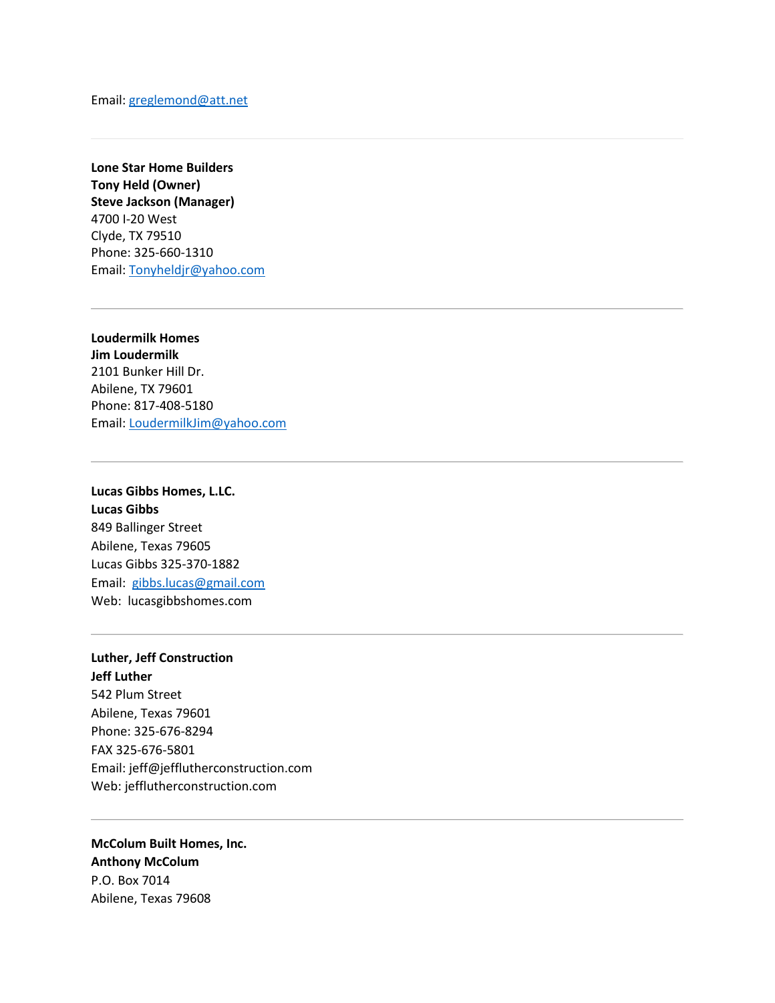**Lone Star Home Builders Tony Held (Owner) Steve Jackson (Manager)** 4700 I-20 West Clyde, TX 79510 Phone: 325-660-1310 Email: [Tonyheldjr@yahoo.com](mailto:Tonyheldjr@yahoo.com)

**Loudermilk Homes Jim Loudermilk** 2101 Bunker Hill Dr. Abilene, TX 79601 Phone: 817-408-5180 Email: LoudermilkJim@yahoo.com

# **Lucas Gibbs Homes, L.LC. Lucas Gibbs** 849 Ballinger Street Abilene, Texas 79605 Lucas Gibbs 325-370-1882 Email: [gibbs.lucas@gmail.com](mailto:gibbs.lucas@gmail.com) Web: [lucasgibbshomes.com](http://www.lucasgibbshomes.com/)

#### **Luther, Jeff Construction Jeff Luther**

542 Plum Street Abilene, Texas 79601 Phone: 325-676-8294 FAX 325-676-5801 Email: [jeff@jefflutherconstruction.com](mailto:jeff@jefflutherconstruction.com) Web[: jefflutherconstruction.com](http://www.jefflutherconstruction.com/)

## **McColum Built Homes, Inc. Anthony McColum** P.O. Box 7014 Abilene, Texas 79608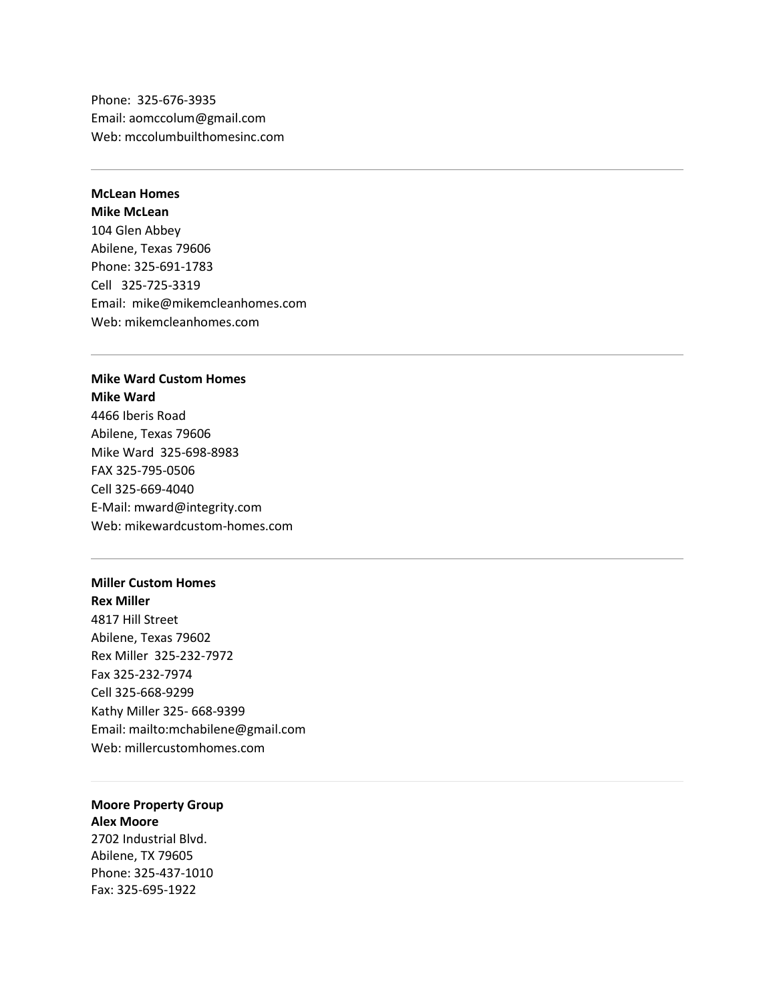Phone: 325-676-3935 Email: [aomccolum@gmail.com](mailto:aomccolum@gmail.com) Web[: mccolumbuilthomesinc.com](http://www.mccolumbuilthomesinc.com/)

### **McLean Homes**

**Mike McLean** 104 Glen Abbey Abilene, Texas 79606 Phone: 325-691-1783 Cell 325-725-3319 Email: [mike@mikemcleanhomes.com](mailto:mike@mikemcleanhomes.com) Web[: mikemcleanhomes.com](http://mikemcleanhomes.com/)

### **Mike Ward Custom Homes Mike Ward**

4466 Iberis Road Abilene, Texas 79606 Mike Ward 325-698-8983 FAX 325-795-0506 Cell 325-669-4040 E-Mail: [mward@integrity.com](mailto:mward@integrity.com) Web[: mikewardcustom-homes.com](http://www.mikewardcustom-homes.com/)

#### **Miller Custom Homes**

**Rex Miller** 4817 Hill Street Abilene, Texas 79602 Rex Miller 325-232-7972 Fax 325-232-7974 Cell 325-668-9299 Kathy Miller 325- 668-9399 Email: <mailto:mchabilene@gmail.com> Web[: millercustomhomes.com](http://www.millercustomhomes.com/)

# **Moore Property Group Alex Moore**

2702 Industrial Blvd. Abilene, TX 79605 Phone: 325-437-1010 Fax: 325-695-1922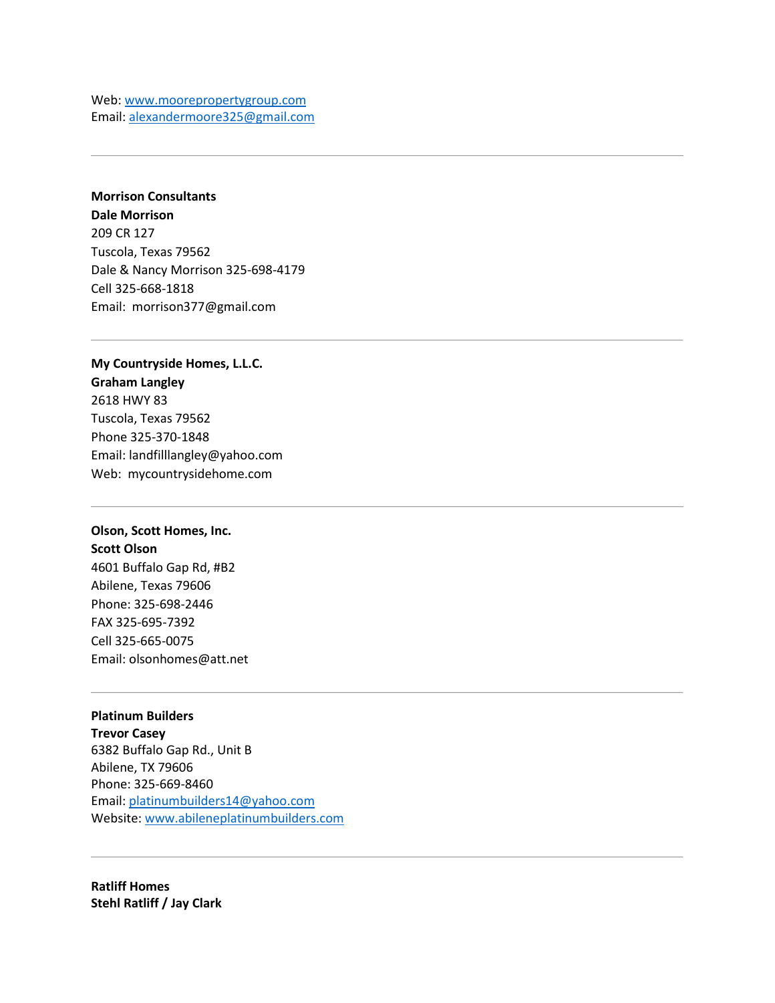Web[: www.moorepropertygroup.com](http://www.moorepropertygroup.com/) Email: [alexandermoore325@gmail.com](mailto:alexandermoore325@gmail.com)

**Morrison Consultants Dale Morrison** 209 CR 127 Tuscola, Texas 79562 Dale & Nancy Morrison 325-698-4179 Cell 325-668-1818 Email: [morrison377@gmail.com](mailto:morrison377@gmail.com)

**My Countryside Homes, L.L.C. Graham Langley** 2618 HWY 83 Tuscola, Texas 79562 Phone 325-370-1848 Email: [landfilllangley@yahoo.com](mailto:landfilllangley@yahoo.com) Web: [mycountrysidehome.com](http://www.mycountrysidehome.com/)

## **Olson, Scott Homes, Inc. Scott Olson**

4601 Buffalo Gap Rd, #B2 Abilene, Texas 79606 Phone: 325-698-2446 FAX 325-695-7392 Cell 325-665-0075 Email: [olsonhomes@att.net](mailto:olsonhomes@att.net)

**Platinum Builders Trevor Casey** 6382 Buffalo Gap Rd., Unit B Abilene, TX 79606 Phone: 325-669-8460 Email: [platinumbuilders14@yahoo.com](mailto:platinumbuilders14@yahoo.com) Website[: www.abileneplatinumbuilders.com](http://www.abileneplatinumbuilders.com/)

**Ratliff Homes Stehl Ratliff / Jay Clark**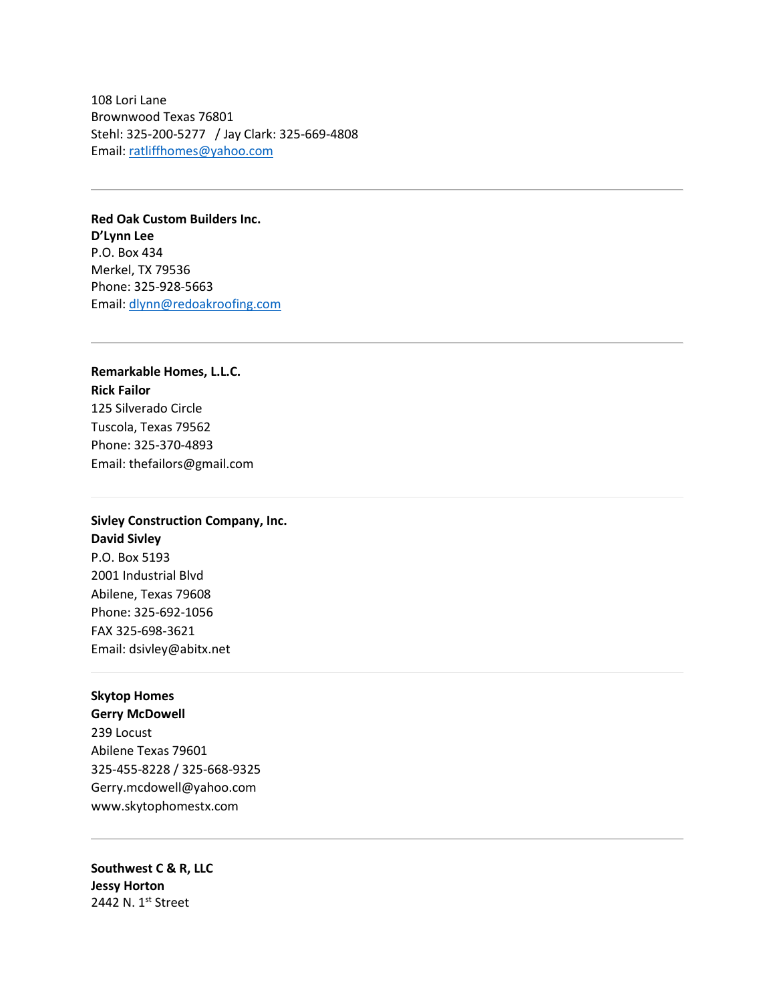108 Lori Lane Brownwood Texas 76801 Stehl: 325-200-5277 / Jay Clark: 325-669-4808 Email: [ratliffhomes@yahoo.com](mailto:ratliffhomes@yahoo.com)

**Red Oak Custom Builders Inc. D'Lynn Lee** P.O. Box 434 Merkel, TX 79536 Phone: 325-928-5663 Email: [dlynn@redoakroofing.com](mailto:dlynn@redoakroofing.com)

**Remarkable Homes, L.L.C. Rick Failor** 125 Silverado Circle Tuscola, Texas 79562 Phone: 325-370-4893 Email: [thefailors@gmail.com](mailto:thefailors@gmail.com)

## **Sivley Construction Company, Inc. David Sivley** P.O. Box 5193 2001 Industrial Blvd Abilene, Texas 79608 Phone: 325-692-1056

FAX 325-698-3621 Email: [dsivley@abitx.net](mailto:dsivley@abitx.net)

#### **Skytop Homes**

**Gerry McDowell** [239 Locust](https://maps.google.com/?q=239+Locust+Abilene+Texas+79601+325&entry=gmail&source=g) [Abilene Texas 79601](https://maps.google.com/?q=239+Locust+Abilene+Texas+79601+325&entry=gmail&source=g) [325-](https://maps.google.com/?q=239+Locust+Abilene+Texas+79601+325&entry=gmail&source=g)455-8228 / 325-668-9325 [Gerry.mcdowell@yahoo.com](mailto:Gerry.mcdowell@yahoo.com) [www.skytophomestx.com](http://www.skytophomestx.com/)

**Southwest C & R, LLC Jessy Horton** 2442 N. 1st Street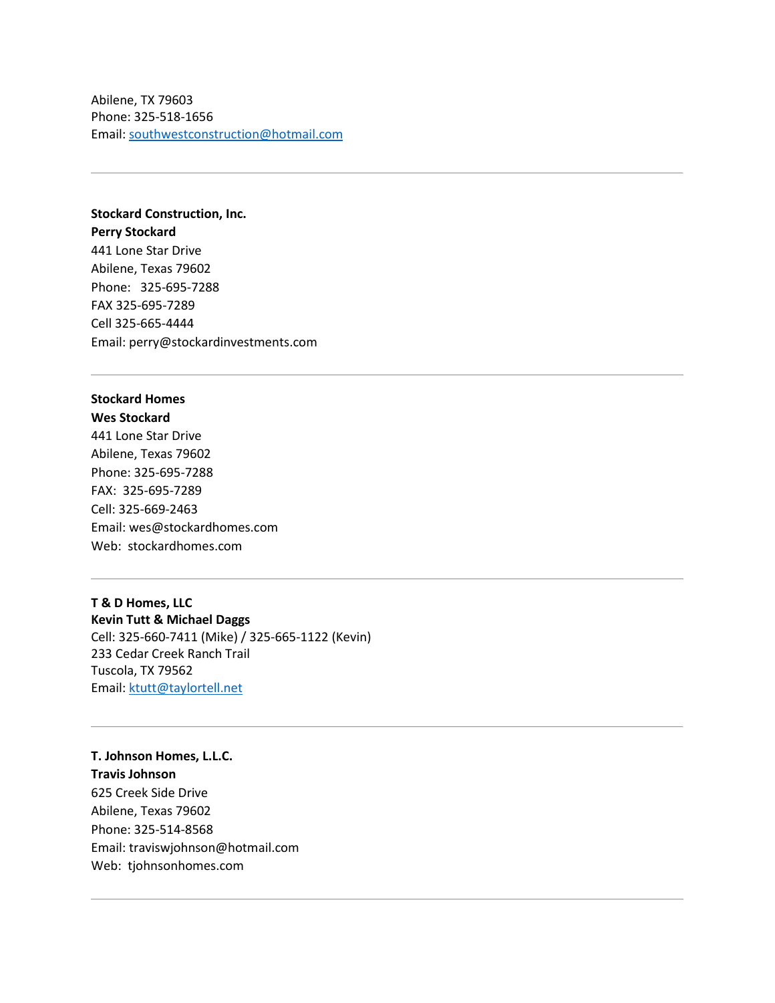Abilene, TX 79603 Phone: 325-518-1656 Email: [southwestconstruction@hotmail.com](mailto:southwestconstruction@hotmail.com)

**Stockard Construction, Inc. Perry Stockard** 441 Lone Star Drive Abilene, Texas 79602 Phone: 325-695-7288 FAX 325-695-7289 Cell 325-665-4444 Email: [perry@stockardinvestments.com](mailto:perry@stockardinvestments.com)

### **Stockard Homes Wes Stockard**

441 Lone Star Drive Abilene, Texas 79602 Phone: 325-695-7288 FAX: 325-695-7289 Cell: 325-669-2463 Email: [wes@stockardhomes.com](mailto:wes@stockardhomes.com) Web: [stockardhomes.com](http://www.stockardhomes.com/)

## **T & D Homes, LLC Kevin Tutt & Michael Daggs** Cell: 325-660-7411 (Mike) / 325-665-1122 (Kevin)

233 Cedar Creek Ranch Trail Tuscola, TX 79562 Email: [ktutt@taylortell.net](mailto:ktutt@taylortell.net)

# **T. Johnson Homes, L.L.C. Travis Johnson** 625 Creek Side Drive Abilene, Texas 79602 Phone: 325-514-8568 Email: [traviswjohnson@hotmail.com](mailto:traviswjohnson@hotmail.com) Web: [tjohnsonhomes.com](http://www.tjohnsonhomes.com/)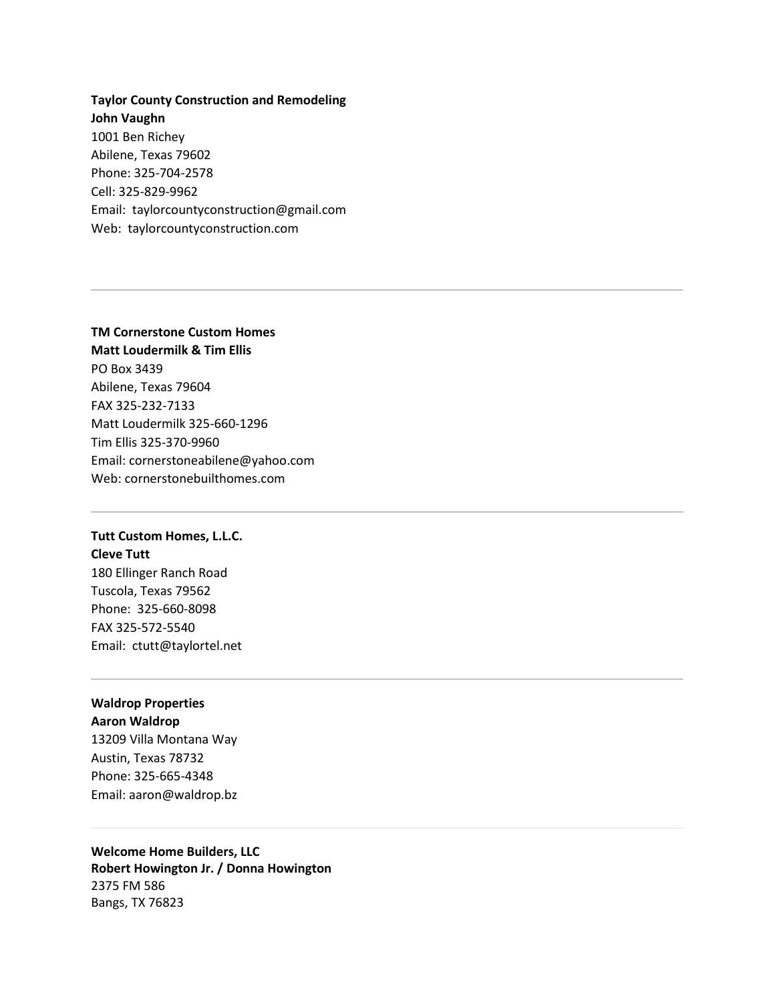**Taylor County Construction and Remodeling John Vaughn** 1001 Ben Richey Abilene, Texas 79602 Phone: 325-704-2578 Cell: 325-829-9962 Email: [taylorcountyconstruction@gmail.com](mailto:taylorcountyconstruction@gmail.com) Web: [taylorcountyconstruction.com](http://www.taylorcountyconstruction.com/)

#### **TM Cornerstone Custom Homes**

**Matt Loudermilk & Tim Ellis** PO Box 3439 Abilene, Texas 79604 FAX 325-232-7133 Matt Loudermilk 325-660-1296 Tim Ellis 325-370-9960 Email: [cornerstoneabilene@yahoo.com](mailto:cornerstoneabilene@yahoo.com) Web[: cornerstonebuilthomes.com](http://www.cornerstonebuilthomes.com/)

### **Tutt Custom Homes, L.L.C. Cleve Tutt**

180 Ellinger Ranch Road Tuscola, Texas 79562 Phone: 325-660-8098 FAX 325-572-5540 Email: [ctutt@taylortel.net](mailto:ctutt@taylortel.net)

### **Waldrop Properties Aaron Waldrop**

13209 Villa Montana Way Austin, Texas 78732 Phone: 325-665-4348 Email: [aaron@waldrop.bz](mailto:aaron@waldrop.bz)

## **Welcome Home Builders, LLC Robert Howington Jr. / Donna Howington** 2375 FM 586 Bangs, TX 76823